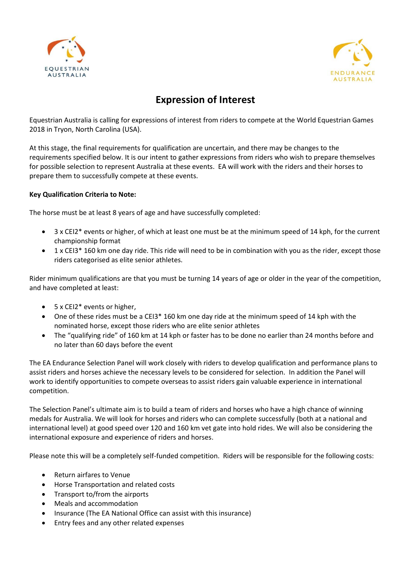



# **Expression of Interest**

Equestrian Australia is calling for expressions of interest from riders to compete at the World Equestrian Games 2018 in Tryon, North Carolina (USA).

At this stage, the final requirements for qualification are uncertain, and there may be changes to the requirements specified below. It is our intent to gather expressions from riders who wish to prepare themselves for possible selection to represent Australia at these events. EA will work with the riders and their horses to prepare them to successfully compete at these events.

#### **Key Qualification Criteria to Note:**

The horse must be at least 8 years of age and have successfully completed:

- 3 x CEI2\* events or higher, of which at least one must be at the minimum speed of 14 kph, for the current championship format
- 1 x CEI3\* 160 km one day ride. This ride will need to be in combination with you as the rider, except those riders categorised as elite senior athletes.

Rider minimum qualifications are that you must be turning 14 years of age or older in the year of the competition, and have completed at least:

- 5 x CEI2\* events or higher,
- One of these rides must be a CEI3\* 160 km one day ride at the minimum speed of 14 kph with the nominated horse, except those riders who are elite senior athletes
- The "qualifying ride" of 160 km at 14 kph or faster has to be done no earlier than 24 months before and no later than 60 days before the event

The EA Endurance Selection Panel will work closely with riders to develop qualification and performance plans to assist riders and horses achieve the necessary levels to be considered for selection. In addition the Panel will work to identify opportunities to compete overseas to assist riders gain valuable experience in international competition.

The Selection Panel's ultimate aim is to build a team of riders and horses who have a high chance of winning medals for Australia. We will look for horses and riders who can complete successfully (both at a national and international level) at good speed over 120 and 160 km vet gate into hold rides. We will also be considering the international exposure and experience of riders and horses.

Please note this will be a completely self-funded competition. Riders will be responsible for the following costs:

- Return airfares to Venue
- Horse Transportation and related costs
- Transport to/from the airports
- Meals and accommodation
- Insurance (The EA National Office can assist with this insurance)
- Entry fees and any other related expenses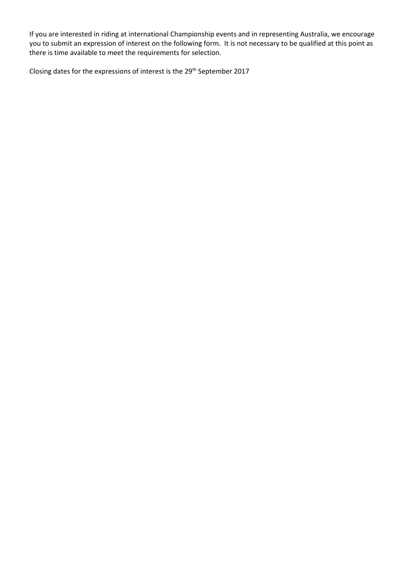If you are interested in riding at international Championship events and in representing Australia, we encourage you to submit an expression of interest on the following form. It is not necessary to be qualified at this point as there is time available to meet the requirements for selection.

Closing dates for the expressions of interest is the 29<sup>th</sup> September 2017